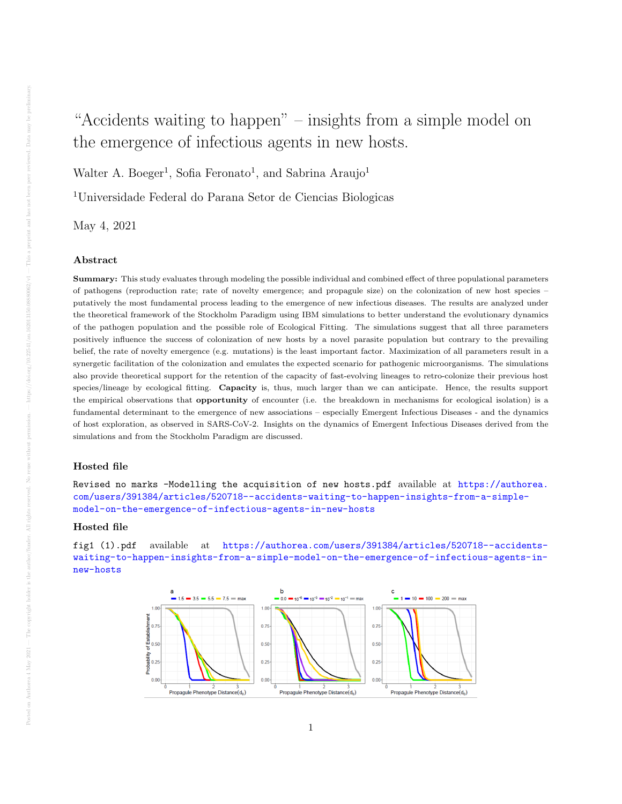## "Accidents waiting to happen" – insights from a simple model on the emergence of infectious agents in new hosts.

Walter A. Boeger<sup>1</sup>, Sofia Feronato<sup>1</sup>, and Sabrina Araujo<sup>1</sup>

<sup>1</sup>Universidade Federal do Parana Setor de Ciencias Biologicas

May 4, 2021

## Abstract

Summary: This study evaluates through modeling the possible individual and combined effect of three populational parameters of pathogens (reproduction rate; rate of novelty emergence; and propagule size) on the colonization of new host species – putatively the most fundamental process leading to the emergence of new infectious diseases. The results are analyzed under the theoretical framework of the Stockholm Paradigm using IBM simulations to better understand the evolutionary dynamics of the pathogen population and the possible role of Ecological Fitting. The simulations suggest that all three parameters positively influence the success of colonization of new hosts by a novel parasite population but contrary to the prevailing belief, the rate of novelty emergence (e.g. mutations) is the least important factor. Maximization of all parameters result in a synergetic facilitation of the colonization and emulates the expected scenario for pathogenic microorganisms. The simulations also provide theoretical support for the retention of the capacity of fast-evolving lineages to retro-colonize their previous host species/lineage by ecological fitting. Capacity is, thus, much larger than we can anticipate. Hence, the results support the empirical observations that opportunity of encounter (i.e. the breakdown in mechanisms for ecological isolation) is a fundamental determinant to the emergence of new associations – especially Emergent Infectious Diseases - and the dynamics of host exploration, as observed in SARS-CoV-2. Insights on the dynamics of Emergent Infectious Diseases derived from the simulations and from the Stockholm Paradigm are discussed.

## Hosted file

Revised no marks -Modelling the acquisition of new hosts.pdf available at [https://authorea.](https://authorea.com/users/391384/articles/520718--accidents-waiting-to-happen-insights-from-a-simple-model-on-the-emergence-of-infectious-agents-in-new-hosts) [com/users/391384/articles/520718--accidents-waiting-to-happen-insights-from-a-simple](https://authorea.com/users/391384/articles/520718--accidents-waiting-to-happen-insights-from-a-simple-model-on-the-emergence-of-infectious-agents-in-new-hosts)[model-on-the-emergence-of-infectious-agents-in-new-hosts](https://authorea.com/users/391384/articles/520718--accidents-waiting-to-happen-insights-from-a-simple-model-on-the-emergence-of-infectious-agents-in-new-hosts)

## Hosted file

fig1 (1).pdf available at [https://authorea.com/users/391384/articles/520718--accidents](https://authorea.com/users/391384/articles/520718--accidents-waiting-to-happen-insights-from-a-simple-model-on-the-emergence-of-infectious-agents-in-new-hosts)[waiting-to-happen-insights-from-a-simple-model-on-the-emergence-of-infectious-agents-in](https://authorea.com/users/391384/articles/520718--accidents-waiting-to-happen-insights-from-a-simple-model-on-the-emergence-of-infectious-agents-in-new-hosts)[new-hosts](https://authorea.com/users/391384/articles/520718--accidents-waiting-to-happen-insights-from-a-simple-model-on-the-emergence-of-infectious-agents-in-new-hosts)